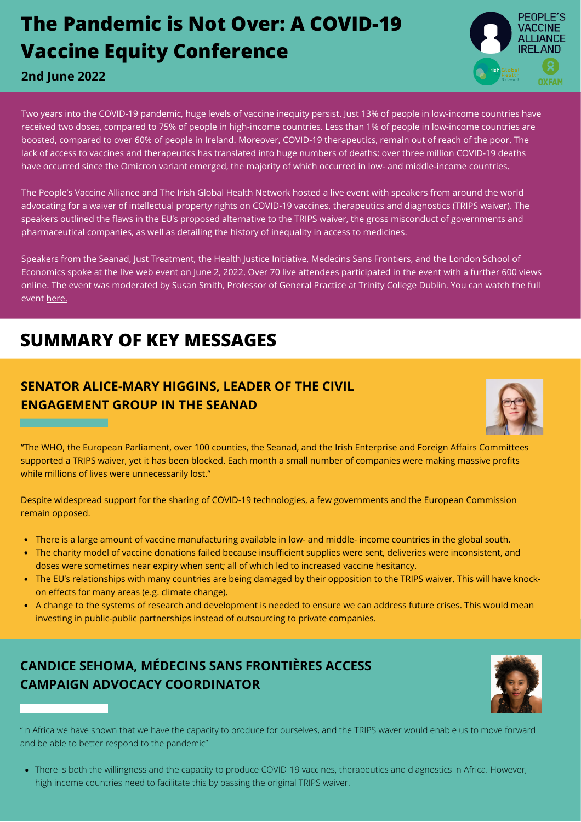# **The Pandemic is Not Over: A COVID-19 Vaccine Equity Conference**



#### **2nd June 2022**

Two years into the COVID-19 pandemic, huge levels of vaccine inequity persist. Just 13% of people in low-income countries have received two doses, compared to 75% of people in high-income countries. Less than 1% of people in low-income countries are boosted, compared to over 60% of people in Ireland. Moreover, COVID-19 therapeutics, remain out of reach of the poor. The lack of access to vaccines and therapeutics has translated into huge numbers of deaths: over three million COVID-19 deaths have occurred since the Omicron variant emerged, the majority of which occurred in low- and middle-income countries.

The People's Vaccine Alliance and The Irish Global Health Network hosted a live event with speakers from around the world advocating for a waiver of intellectual property rights on COVID-19 vaccines, therapeutics and diagnostics (TRIPS waiver). The speakers outlined the flaws in the EU's proposed alternative to the TRIPS waiver, the gross misconduct of governments and pharmaceutical companies, as well as detailing the history of inequality in access to medicines.

Speakers from the Seanad, Just Treatment, the Health Justice Initiative, Medecins Sans Frontiers, and the London School of Economics spoke at the live web event on June 2, 2022. Over 70 live attendees participated in the event with a further 600 views online. The event was moderated by Susan Smith, Professor of General Practice at Trinity College Dublin. You can watch the full event [here.](https://www.youtube.com/watch?v=HHSnHP2QB28)

## **SUMMARY OF KEY MESSAGES**

## **SENATOR ALICE-MARY HIGGINS, LEADER OF THE CIVIL ENGAGEMENT GROUP IN THE SEANAD**



"The WHO, the European Parliament, over 100 counties, the Seanad, and the Irish Enterprise and Foreign Affairs Committees supported a TRIPS waiver, yet it has been blocked. Each month a small number of companies were making massive profits while millions of lives were unnecessarily lost."

Despite widespread support for the sharing of COVID-19 technologies, a few governments and the European Commission remain opposed.

- There is a large amount of vaccine manufacturing [available in low- and middle- income countries](https://msfaccess.org/pharmaceutical-firms-across-asia-africa-and-latin-america-potential-manufacture-mrna-vaccines) in the global south.
- The charity model of vaccine donations failed because insufficient supplies were sent, deliveries were inconsistent, and doses were sometimes near expiry when sent; all of which led to increased vaccine hesitancy.
- The EU's relationships with many countries are being damaged by their opposition to the TRIPS waiver. This will have knockon effects for many areas (e.g. climate change).
- A change to the systems of research and development is needed to ensure we can address future crises. This would mean investing in public-public partnerships instead of outsourcing to private companies.

## **CANDICE SEHOMA, MÉDECINS SANS FRONTIÈRES ACCESS CAMPAIGN ADVOCACY COORDINATOR**



"In Africa we have shown that we have the capacity to produce for ourselves, and the TRIPS waver would enable us to move forward and be able to better respond to the pandemic"

There is both the willingness and the capacity to produce COVID-19 vaccines, therapeutics and diagnostics in Africa. However, high income countries need to facilitate this by passing the original TRIPS waiver.